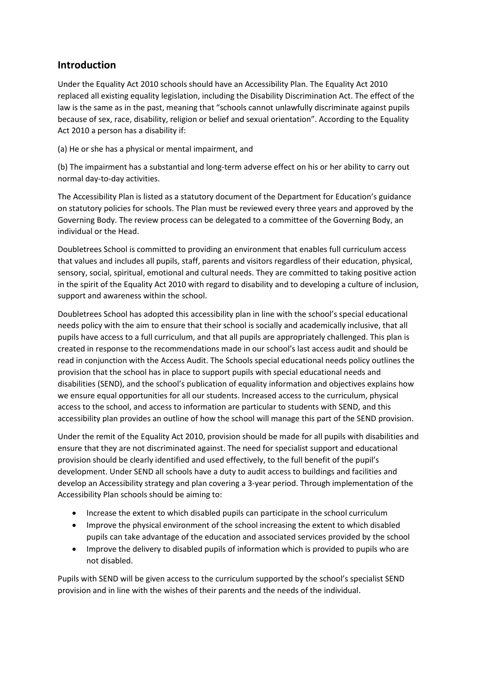# **Introduction**

Under the Equality Act 2010 schools should have an Accessibility Plan. The Equality Act 2010 replaced all existing equality legislation, including the Disability Discrimination Act. The effect of the law is the same as in the past, meaning that "schools cannot unlawfully discriminate against pupils because of sex, race, disability, religion or belief and sexual orientation". According to the Equality Act 2010 a person has a disability if:

(a) He or she has a physical or mental impairment, and

(b) The impairment has a substantial and long-term adverse effect on his or her ability to carry out normal day-to-day activities.

The Accessibility Plan is listed as a statutory document of the Department for Education's guidance on statutory policies for schools. The Plan must be reviewed every three years and approved by the Governing Body. The review process can be delegated to a committee of the Governing Body, an individual or the Head.

Doubletrees School is committed to providing an environment that enables full curriculum access that values and includes all pupils, staff, parents and visitors regardless of their education, physical, sensory, social, spiritual, emotional and cultural needs. They are committed to taking positive action in the spirit of the Equality Act 2010 with regard to disability and to developing a culture of inclusion, support and awareness within the school.

Doubletrees School has adopted this accessibility plan in line with the school's special educational needs policy with the aim to ensure that their school is socially and academically inclusive, that all pupils have access to a full curriculum, and that all pupils are appropriately challenged. This plan is created in response to the recommendations made in our school's last access audit and should be read in conjunction with the Access Audit. The Schools special educational needs policy outlines the provision that the school has in place to support pupils with special educational needs and disabilities (SEND), and the school's publication of equality information and objectives explains how we ensure equal opportunities for all our students. Increased access to the curriculum, physical access to the school, and access to information are particular to students with SEND, and this accessibility plan provides an outline of how the school will manage this part of the SEND provision.

Under the remit of the Equality Act 2010, provision should be made for all pupils with disabilities and ensure that they are not discriminated against. The need for specialist support and educational provision should be clearly identified and used effectively, to the full benefit of the pupil's development. Under SEND all schools have a duty to audit access to buildings and facilities and develop an Accessibility strategy and plan covering a 3-year period. Through implementation of the Accessibility Plan schools should be aiming to:

- Increase the extent to which disabled pupils can participate in the school curriculum
- Improve the physical environment of the school increasing the extent to which disabled pupils can take advantage of the education and associated services provided by the school
- Improve the delivery to disabled pupils of information which is provided to pupils who are not disabled.

Pupils with SEND will be given access to the curriculum supported by the school's specialist SEND provision and in line with the wishes of their parents and the needs of the individual.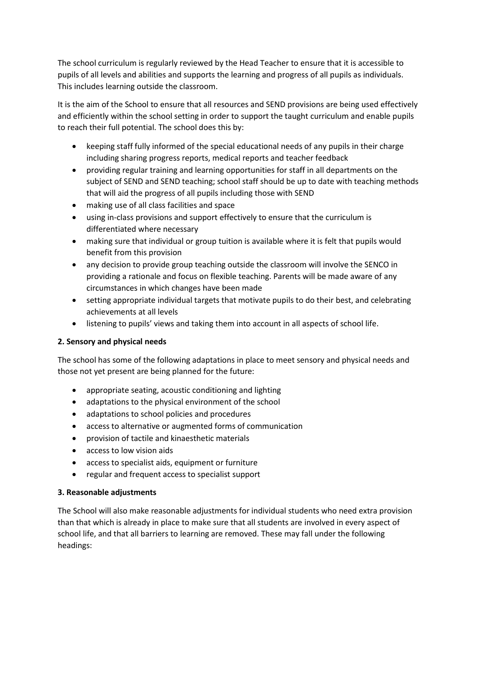The school curriculum is regularly reviewed by the Head Teacher to ensure that it is accessible to pupils of all levels and abilities and supports the learning and progress of all pupils as individuals. This includes learning outside the classroom.

It is the aim of the School to ensure that all resources and SEND provisions are being used effectively and efficiently within the school setting in order to support the taught curriculum and enable pupils to reach their full potential. The school does this by:

- keeping staff fully informed of the special educational needs of any pupils in their charge including sharing progress reports, medical reports and teacher feedback
- providing regular training and learning opportunities for staff in all departments on the subject of SEND and SEND teaching; school staff should be up to date with teaching methods that will aid the progress of all pupils including those with SEND
- making use of all class facilities and space
- using in-class provisions and support effectively to ensure that the curriculum is differentiated where necessary
- making sure that individual or group tuition is available where it is felt that pupils would benefit from this provision
- any decision to provide group teaching outside the classroom will involve the SENCO in providing a rationale and focus on flexible teaching. Parents will be made aware of any circumstances in which changes have been made
- setting appropriate individual targets that motivate pupils to do their best, and celebrating achievements at all levels
- listening to pupils' views and taking them into account in all aspects of school life.

#### **2. Sensory and physical needs**

The school has some of the following adaptations in place to meet sensory and physical needs and those not yet present are being planned for the future:

- appropriate seating, acoustic conditioning and lighting
- adaptations to the physical environment of the school
- adaptations to school policies and procedures
- access to alternative or augmented forms of communication
- provision of tactile and kinaesthetic materials
- access to low vision aids
- access to specialist aids, equipment or furniture
- regular and frequent access to specialist support

#### **3. Reasonable adjustments**

The School will also make reasonable adjustments for individual students who need extra provision than that which is already in place to make sure that all students are involved in every aspect of school life, and that all barriers to learning are removed. These may fall under the following headings: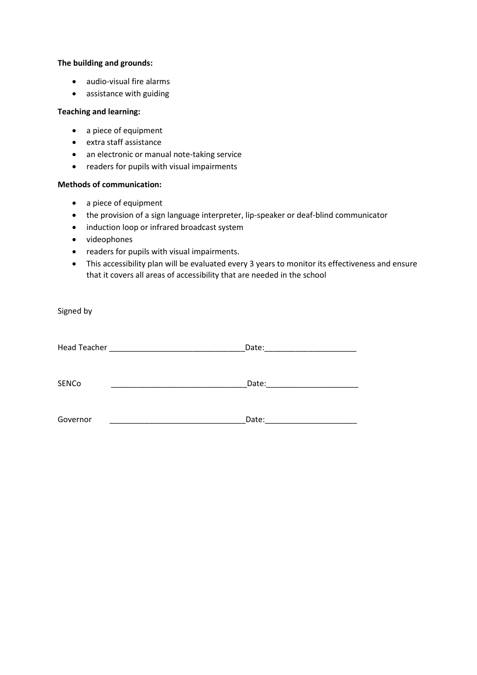#### **The building and grounds:**

- audio-visual fire alarms
- assistance with guiding

#### **Teaching and learning:**

- a piece of equipment
- extra staff assistance
- an electronic or manual note-taking service
- readers for pupils with visual impairments

#### **Methods of communication:**

- a piece of equipment
- the provision of a sign language interpreter, lip-speaker or deaf-blind communicator
- induction loop or infrared broadcast system
- videophones
- readers for pupils with visual impairments.
- This accessibility plan will be evaluated every 3 years to monitor its effectiveness and ensure that it covers all areas of accessibility that are needed in the school

Signed by

| <b>Head Teacher</b> | Date: |
|---------------------|-------|
| SENCo               | Date: |
| Governor            | Date: |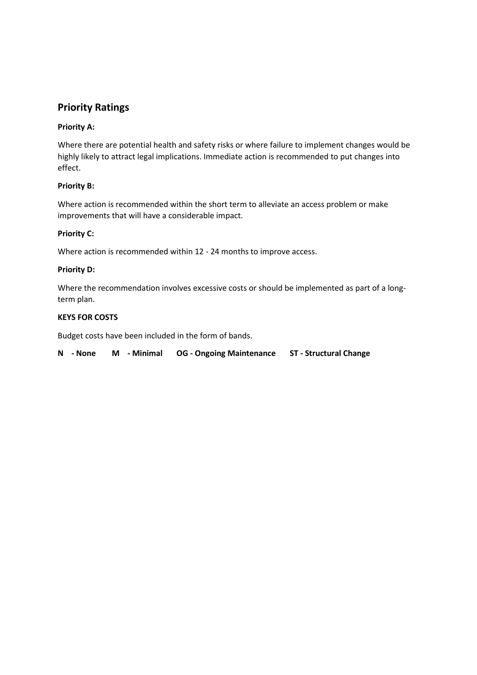# **Priority Ratings**

#### **Priority A:**

Where there are potential health and safety risks or where failure to implement changes would be highly likely to attract legal implications. Immediate action is recommended to put changes into effect.

#### **Priority B:**

Where action is recommended within the short term to alleviate an access problem or make improvements that will have a considerable impact.

#### **Priority C:**

Where action is recommended within 12 - 24 months to improve access.

#### **Priority D:**

Where the recommendation involves excessive costs or should be implemented as part of a longterm plan.

#### **KEYS FOR COSTS**

Budget costs have been included in the form of bands.

|  |  |  |  | N - None M - Minimal OG - Ongoing Maintenance ST - Structural Change |  |
|--|--|--|--|----------------------------------------------------------------------|--|
|--|--|--|--|----------------------------------------------------------------------|--|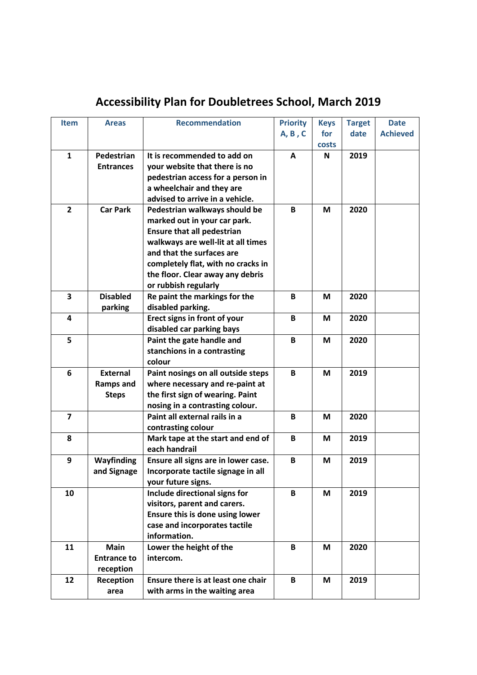# **Accessibility Plan for Doubletrees School, March 2019**

| <b>Item</b>             | <b>Areas</b>       | <b>Recommendation</b>               | <b>Priority</b> | <b>Keys</b> | <b>Target</b> | <b>Date</b>     |
|-------------------------|--------------------|-------------------------------------|-----------------|-------------|---------------|-----------------|
|                         |                    |                                     | A, B, C         | for         | date          | <b>Achieved</b> |
|                         |                    |                                     |                 | costs       |               |                 |
| $\mathbf{1}$            | Pedestrian         | It is recommended to add on         | Α               | N           | 2019          |                 |
|                         | <b>Entrances</b>   | your website that there is no       |                 |             |               |                 |
|                         |                    | pedestrian access for a person in   |                 |             |               |                 |
|                         |                    | a wheelchair and they are           |                 |             |               |                 |
|                         |                    | advised to arrive in a vehicle.     |                 |             |               |                 |
| $\overline{2}$          | <b>Car Park</b>    | Pedestrian walkways should be       | B               | M           | 2020          |                 |
|                         |                    | marked out in your car park.        |                 |             |               |                 |
|                         |                    | <b>Ensure that all pedestrian</b>   |                 |             |               |                 |
|                         |                    | walkways are well-lit at all times  |                 |             |               |                 |
|                         |                    | and that the surfaces are           |                 |             |               |                 |
|                         |                    | completely flat, with no cracks in  |                 |             |               |                 |
|                         |                    | the floor. Clear away any debris    |                 |             |               |                 |
|                         |                    | or rubbish regularly                |                 |             |               |                 |
| 3                       | <b>Disabled</b>    | Re paint the markings for the       | B               | M           | 2020          |                 |
|                         | parking            | disabled parking.                   |                 |             |               |                 |
| $\overline{\mathbf{4}}$ |                    | Erect signs in front of your        | B               | M           | 2020          |                 |
|                         |                    | disabled car parking bays           |                 |             |               |                 |
| 5                       |                    | Paint the gate handle and           | B               | M           | 2020          |                 |
|                         |                    | stanchions in a contrasting         |                 |             |               |                 |
|                         |                    | colour                              |                 |             |               |                 |
| 6                       | <b>External</b>    | Paint nosings on all outside steps  | B               | M           | 2019          |                 |
|                         | Ramps and          | where necessary and re-paint at     |                 |             |               |                 |
|                         | <b>Steps</b>       | the first sign of wearing. Paint    |                 |             |               |                 |
|                         |                    | nosing in a contrasting colour.     |                 |             |               |                 |
| $\overline{\mathbf{z}}$ |                    | Paint all external rails in a       | $\, {\bf B}$    | M           | 2020          |                 |
|                         |                    | contrasting colour                  |                 |             |               |                 |
| 8                       |                    | Mark tape at the start and end of   | B               | M           | 2019          |                 |
|                         |                    | each handrail                       |                 |             |               |                 |
| 9                       | Wayfinding         | Ensure all signs are in lower case. | B               | M           | 2019          |                 |
|                         | and Signage        | Incorporate tactile signage in all  |                 |             |               |                 |
|                         |                    | your future signs.                  |                 |             |               |                 |
| 10                      |                    | Include directional signs for       | B               | M           | 2019          |                 |
|                         |                    | visitors, parent and carers.        |                 |             |               |                 |
|                         |                    | Ensure this is done using lower     |                 |             |               |                 |
|                         |                    | case and incorporates tactile       |                 |             |               |                 |
|                         |                    | information.                        |                 |             |               |                 |
| 11                      | <b>Main</b>        | Lower the height of the             | B               | M           | 2020          |                 |
|                         | <b>Entrance to</b> | intercom.                           |                 |             |               |                 |
|                         | reception          |                                     |                 |             |               |                 |
| 12                      | Reception          | Ensure there is at least one chair  | B               | M           | 2019          |                 |
|                         | area               | with arms in the waiting area       |                 |             |               |                 |
|                         |                    |                                     |                 |             |               |                 |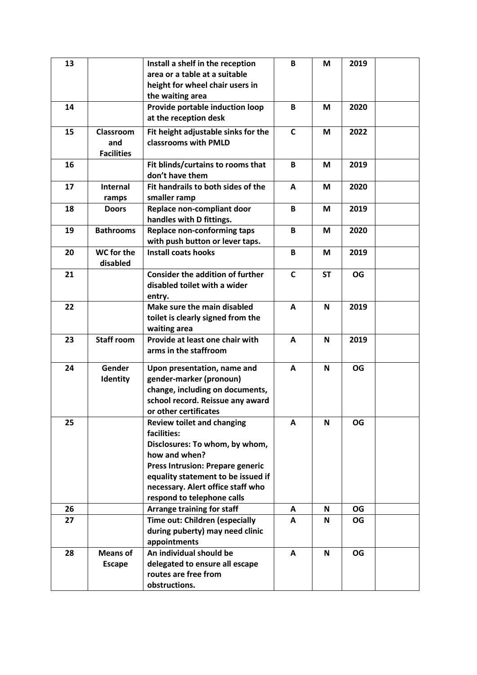| 13 |                                       | Install a shelf in the reception<br>area or a table at a suitable<br>height for wheel chair users in<br>the waiting area                                                                                                                                | B            | M         | 2019      |  |
|----|---------------------------------------|---------------------------------------------------------------------------------------------------------------------------------------------------------------------------------------------------------------------------------------------------------|--------------|-----------|-----------|--|
| 14 |                                       | Provide portable induction loop<br>at the reception desk                                                                                                                                                                                                | B            | M         | 2020      |  |
| 15 | Classroom<br>and<br><b>Facilities</b> | Fit height adjustable sinks for the<br>classrooms with PMLD                                                                                                                                                                                             | $\mathsf{C}$ | M         | 2022      |  |
| 16 |                                       | Fit blinds/curtains to rooms that<br>don't have them                                                                                                                                                                                                    | B            | M         | 2019      |  |
| 17 | <b>Internal</b><br>ramps              | Fit handrails to both sides of the<br>smaller ramp                                                                                                                                                                                                      | A            | M         | 2020      |  |
| 18 | <b>Doors</b>                          | Replace non-compliant door<br>handles with D fittings.                                                                                                                                                                                                  | B            | M         | 2019      |  |
| 19 | <b>Bathrooms</b>                      | <b>Replace non-conforming taps</b><br>with push button or lever taps.                                                                                                                                                                                   | B            | M         | 2020      |  |
| 20 | WC for the<br>disabled                | <b>Install coats hooks</b>                                                                                                                                                                                                                              | B            | M         | 2019      |  |
| 21 |                                       | <b>Consider the addition of further</b><br>disabled toilet with a wider<br>entry.                                                                                                                                                                       | $\mathsf{C}$ | <b>ST</b> | <b>OG</b> |  |
| 22 |                                       | Make sure the main disabled<br>toilet is clearly signed from the<br>waiting area                                                                                                                                                                        | A            | N         | 2019      |  |
| 23 | <b>Staff room</b>                     | Provide at least one chair with<br>arms in the staffroom                                                                                                                                                                                                | A            | N         | 2019      |  |
| 24 | Gender<br>Identity                    | Upon presentation, name and<br>gender-marker (pronoun)<br>change, including on documents,<br>school record. Reissue any award<br>or other certificates                                                                                                  | A            | N         | <b>OG</b> |  |
| 25 |                                       | <b>Review toilet and changing</b><br>facilities:<br>Disclosures: To whom, by whom,<br>how and when?<br><b>Press Intrusion: Prepare generic</b><br>equality statement to be issued if<br>necessary. Alert office staff who<br>respond to telephone calls | А            | N         | <b>OG</b> |  |
| 26 |                                       | Arrange training for staff                                                                                                                                                                                                                              | A            | N         | OG        |  |
| 27 |                                       | Time out: Children (especially<br>during puberty) may need clinic<br>appointments                                                                                                                                                                       | A            | N         | OG        |  |
| 28 | <b>Means of</b><br><b>Escape</b>      | An individual should be<br>delegated to ensure all escape<br>routes are free from<br>obstructions.                                                                                                                                                      | A            | N         | <b>OG</b> |  |